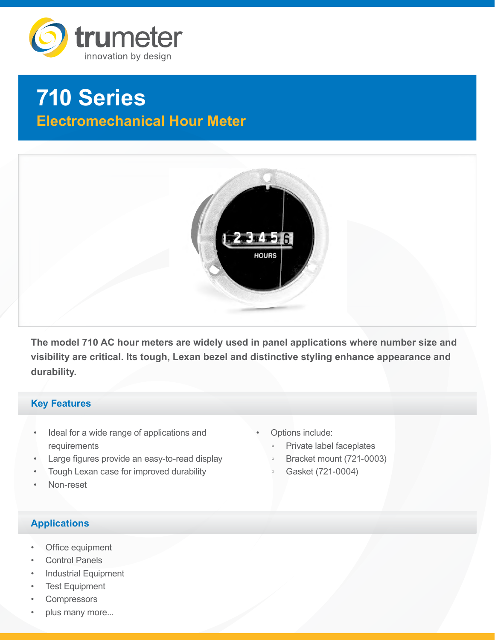

# **710 Series Electromechanical Hour Meter**



**The model 710 AC hour meters are widely used in panel applications where number size and visibility are critical. Its tough, Lexan bezel and distinctive styling enhance appearance and durability.**

## **Key Features**

- Ideal for a wide range of applications and requirements
- Large figures provide an easy-to-read display
- Tough Lexan case for improved durability
- Non-reset

◦ Private label faceplates

Options include:

- Bracket mount (721-0003)
- Gasket (721-0004)

- **Applications**
- Office equipment
- **Control Panels**
- **Industrial Equipment**
- **Test Equipment**
- **Compressors**
- plus many more...